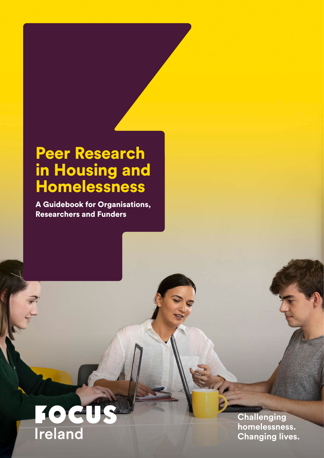## Peer Research in Housing and Homelessness

A Guidebook for Organisations, Researchers and Funders



**Challenging homelessness. Changing lives.**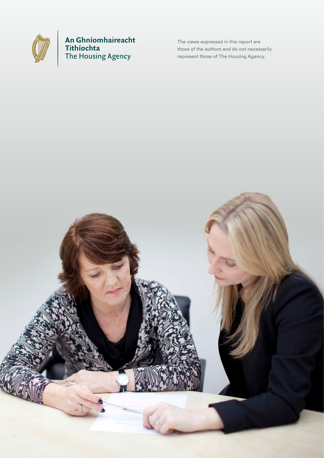

An Ghníomhaireacht **Tithíochta**<br>The Housing Agency

The views expressed in this report are those of the authors and do not necessarily represent those of The Housing Agency.

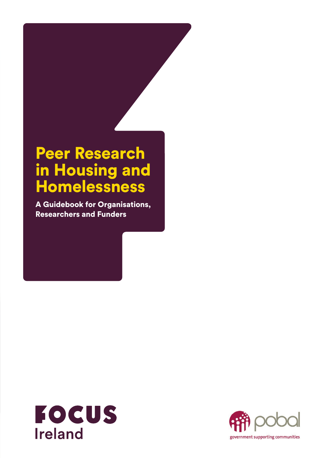## Peer Research in Housing and Homelessness

A Guidebook for Organisations, Researchers and Funders



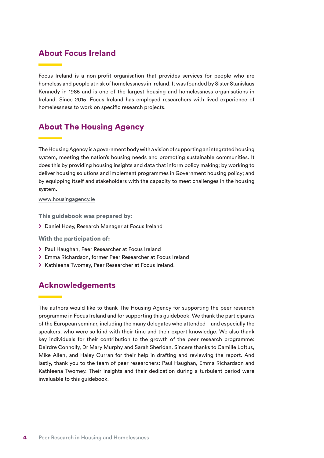#### About Focus Ireland

Focus Ireland is a non-profit organisation that provides services for people who are homeless and people at risk of homelessness in Ireland. It was founded by Sister Stanislaus Kennedy in 1985 and is one of the largest housing and homelessness organisations in Ireland. Since 2015, Focus Ireland has employed researchers with lived experience of homelessness to work on specific research projects.

#### About The Housing Agency

The Housing Agency is a government body with a vision of supporting an integrated housing system, meeting the nation's housing needs and promoting sustainable communities. It does this by providing housing insights and data that inform policy making; by working to deliver housing solutions and implement programmes in Government housing policy; and by equipping itself and stakeholders with the capacity to meet challenges in the housing system.

www.housingagency.ie

#### This guidebook was prepared by:

> Daniel Hoey, Research Manager at Focus Ireland

With the participation of:

- > Paul Haughan, Peer Researcher at Focus Ireland
- > Emma Richardson, former Peer Researcher at Focus Ireland
- > Kathleena Twomey, Peer Researcher at Focus Ireland.

#### Acknowledgements

The authors would like to thank The Housing Agency for supporting the peer research programme in Focus Ireland and for supporting this guidebook. We thank the participants of the European seminar, including the many delegates who attended – and especially the speakers, who were so kind with their time and their expert knowledge. We also thank key individuals for their contribution to the growth of the peer research programme: Deirdre Connolly, Dr Mary Murphy and Sarah Sheridan. Sincere thanks to Camille Loftus, Mike Allen, and Haley Curran for their help in drafting and reviewing the report. And lastly, thank you to the team of peer researchers: Paul Haughan, Emma Richardson and Kathleena Twomey. Their insights and their dedication during a turbulent period were invaluable to this guidebook.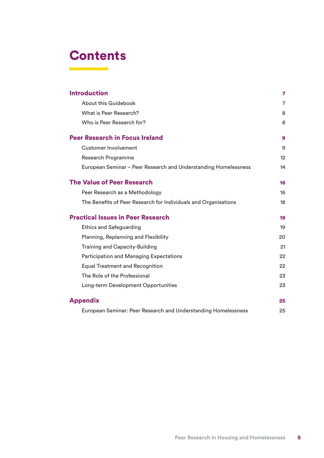## **Contents**

| <b>Introduction</b>                                             | $\overline{7}$ |
|-----------------------------------------------------------------|----------------|
| <b>About this Guidebook</b>                                     | $\overline{7}$ |
| What is Peer Research?                                          | 8              |
| Who is Peer Research for?                                       | 8              |
| <b>Peer Research in Focus Ireland</b>                           | 9              |
| <b>Customer Involvement</b>                                     | 9              |
| Research Programme                                              | 12             |
| European Seminar - Peer Research and Understanding Homelessness | 14             |
| <b>The Value of Peer Research</b>                               | 16             |
| Peer Research as a Methodology                                  | 16             |
| The Benefits of Peer Research for Individuals and Organisations | 18             |
| <b>Practical Issues in Peer Research</b>                        | 19             |
| <b>Ethics and Safeguarding</b>                                  | 19             |
| Planning, Replanning and Flexibility                            | 20             |
| <b>Training and Capacity-Building</b>                           | 21             |
| <b>Participation and Managing Expectations</b>                  | 22             |
| <b>Equal Treatment and Recognition</b>                          | 22             |
| The Role of the Professional                                    | 23             |
| Long-term Development Opportunities                             | 23             |
| <b>Appendix</b>                                                 | 25             |
| European Seminar: Peer Research and Understanding Homelessness  | 25             |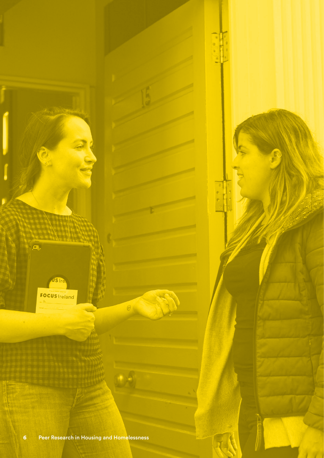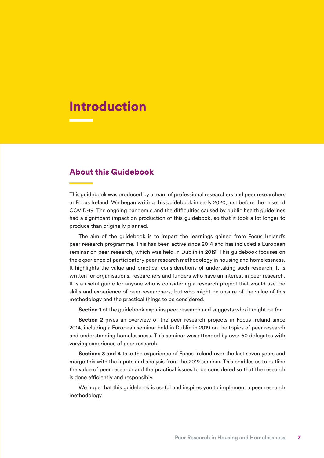## Introduction

#### About this Guidebook

This guidebook was produced by a team of professional researchers and peer researchers at Focus Ireland. We began writing this guidebook in early 2020, just before the onset of COVID-19. The ongoing pandemic and the difficulties caused by public health guidelines had a significant impact on production of this guidebook, so that it took a lot longer to produce than originally planned.

The aim of the guidebook is to impart the learnings gained from Focus Ireland's peer research programme. This has been active since 2014 and has included a European seminar on peer research, which was held in Dublin in 2019. This guidebook focuses on the experience of participatory peer research methodology in housing and homelessness. It highlights the value and practical considerations of undertaking such research. It is written for organisations, researchers and funders who have an interest in peer research. It is a useful guide for anyone who is considering a research project that would use the skills and experience of peer researchers, but who might be unsure of the value of this methodology and the practical things to be considered.

**Section 1** of the guidebook explains peer research and suggests who it might be for.

**Section 2** gives an overview of the peer research projects in Focus Ireland since 2014, including a European seminar held in Dublin in 2019 on the topics of peer research and understanding homelessness. This seminar was attended by over 60 delegates with varying experience of peer research.

**Sections 3 and 4** take the experience of Focus Ireland over the last seven years and merge this with the inputs and analysis from the 2019 seminar. This enables us to outline the value of peer research and the practical issues to be considered so that the research is done efficiently and responsibly.

We hope that this guidebook is useful and inspires you to implement a peer research methodology.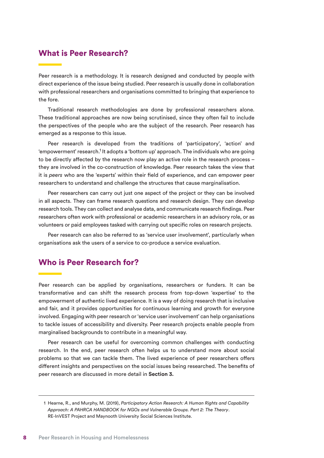#### What is Peer Research?

Peer research is a methodology. It is research designed and conducted by people with direct experience of the issue being studied. Peer research is usually done in collaboration with professional researchers and organisations committed to bringing that experience to the fore.

Traditional research methodologies are done by professional researchers alone. These traditional approaches are now being scrutinised, since they often fail to include the perspectives of the people who are the subject of the research. Peer research has emerged as a response to this issue.

Peer research is developed from the traditions of 'participatory', 'action' and 'empowerment' research.<sup>1</sup> It adopts a 'bottom up' approach. The individuals who are going to be directly affected by the research now play an active role in the research process – they are involved in the co-construction of knowledge. Peer research takes the view that it is *peers* who are the 'experts' within their field of experience, and can empower peer researchers to understand and challenge the structures that cause marginalisation.

Peer researchers can carry out just one aspect of the project or they can be involved in all aspects. They can frame research questions and research design. They can develop research tools. They can collect and analyse data, and communicate research findings. Peer researchers often work with professional or academic researchers in an advisory role, or as volunteers or paid employees tasked with carrying out specific roles on research projects.

Peer research can also be referred to as 'service user involvement', particularly when organisations ask the users of a service to co-produce a service evaluation.

#### Who is Peer Research for?

Peer research can be applied by organisations, researchers or funders. It can be transformative and can shift the research process from top-down 'expertise' to the empowerment of authentic lived experience. It is a way of doing research that is inclusive and fair, and it provides opportunities for continuous learning and growth for everyone involved. Engaging with peer research or 'service user involvement' can help organisations to tackle issues of accessibility and diversity. Peer research projects enable people from marginalised backgrounds to contribute in a meaningful way.

Peer research can be useful for overcoming common challenges with conducting research. In the end, peer research often helps us to understand more about social problems so that we can tackle them. The lived experience of peer researchers offers different insights and perspectives on the social issues being researched. The benefits of peer research are discussed in more detail in **Section 3.**

<sup>1</sup> Hearne, R., and Murphy, M. (2019), *Participatory Action Research: A Human Rights and Capability Approach: A PAHRCA HANDBOOK for NGOs and Vulnerable Groups. Part 2: The Theory*. RE-InVEST Project and Maynooth University Social Sciences Institute.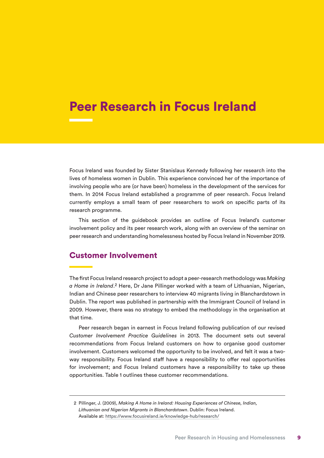## Peer Research in Focus Ireland

Focus Ireland was founded by Sister Stanislaus Kennedy following her research into the lives of homeless women in Dublin. This experience convinced her of the importance of involving people who are (or have been) homeless in the development of the services for them. In 2014 Focus Ireland established a programme of peer research. Focus Ireland currently employs a small team of peer researchers to work on specific parts of its research programme.

This section of the guidebook provides an outline of Focus Ireland's customer involvement policy and its peer research work, along with an overview of the seminar on peer research and understanding homelessness hosted by Focus Ireland in November 2019.

#### Customer Involvement

The first Focus Ireland research project to adopt a peer-research methodology was *Making*  a Home in Ireland.<sup>2</sup> Here, Dr Jane Pillinger worked with a team of Lithuanian, Nigerian, Indian and Chinese peer researchers to interview 40 migrants living in Blanchardstown in Dublin. The report was published in partnership with the Immigrant Council of Ireland in 2009. However, there was no strategy to embed the methodology in the organisation at that time.

Peer research began in earnest in Focus Ireland following publication of our revised *Customer Involvement Practice Guidelines* in 2013. The document sets out several recommendations from Focus Ireland customers on how to organise good customer involvement. Customers welcomed the opportunity to be involved, and felt it was a twoway responsibility. Focus Ireland staff have a responsibility to offer real opportunities for involvement; and Focus Ireland customers have a responsibility to take up these opportunities. Table 1 outlines these customer recommendations.

2 Pillinger, J. (2009), *Making A Home in Ireland: Housing Experiences of Chinese, Indian, Lithuanian and Nigerian Migrants in Blanchardstown*. Dublin: Focus Ireland. Available at: https://www.focusireland.ie/knowledge-hub/research/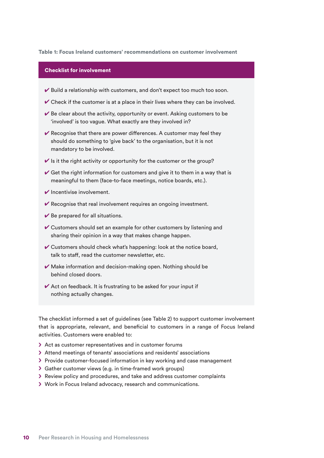Table 1: Focus Ireland customers' recommendations on customer involvement

#### Checklist for involvement

- $\vee$  Build a relationship with customers, and don't expect too much too soon.
- $\vee$  Check if the customer is at a place in their lives where they can be involved.
- $\vee$  Be clear about the activity, opportunity or event. Asking customers to be 'involved' is too vague. What exactly are they involved in?
- $\blacktriangleright$  Recognise that there are power differences. A customer may feel they should do something to 'give back' to the organisation, but it is not mandatory to be involved.
- $\vee$  Is it the right activity or opportunity for the customer or the group?
- $\vee$  Get the right information for customers and give it to them in a way that is meaningful to them (face-to-face meetings, notice boards, etc.).
- $\blacktriangleright$  Incentivise involvement.
- $\vee$  Recognise that real involvement requires an ongoing investment.
- $\vee$  Be prepared for all situations.
- $\vee$  Customers should set an example for other customers by listening and sharing their opinion in a way that makes change happen.
- $\vee$  Customers should check what's happening: look at the notice board, talk to staff, read the customer newsletter, etc.
- $\vee$  Make information and decision-making open. Nothing should be behind closed doors.
- $\vee$  Act on feedback. It is frustrating to be asked for your input if nothing actually changes.

The checklist informed a set of guidelines (see Table 2) to support customer involvement that is appropriate, relevant, and beneficial to customers in a range of Focus Ireland activities. Customers were enabled to:

- > Act as customer representatives and in customer forums
- > Attend meetings of tenants' associations and residents' associations
- S Provide customer-focused information in key working and case management
- Sather customer views (e.g. in time-framed work groups)
- > Review policy and procedures, and take and address customer complaints
- S Work in Focus Ireland advocacy, research and communications.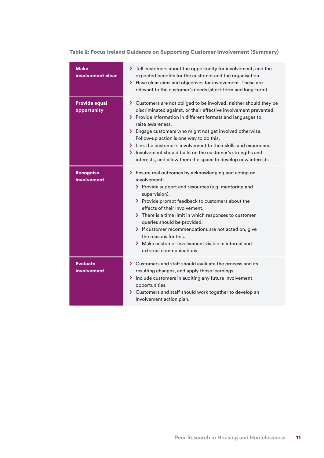| Table 2: Focus Ireland Guidance on Supporting Customer Involvement (Summary) |  |  |
|------------------------------------------------------------------------------|--|--|
|------------------------------------------------------------------------------|--|--|

| <b>Make</b><br>involvement clear    | > Tell customers about the opportunity for involvement, and the<br>expected benefits for the customer and the organisation.<br>> Have clear aims and objectives for involvement. These are<br>relevant to the customer's needs (short-term and long-term).                                                                                                                                                                                                                                                                           |
|-------------------------------------|--------------------------------------------------------------------------------------------------------------------------------------------------------------------------------------------------------------------------------------------------------------------------------------------------------------------------------------------------------------------------------------------------------------------------------------------------------------------------------------------------------------------------------------|
| <b>Provide equal</b><br>opportunity | > Customers are not obliged to be involved, neither should they be<br>discriminated against, or their effective involvement prevented.<br>> Provide information in different formats and languages to<br>raise awareness.<br>> Engage customers who might not get involved otherwise.<br>Follow-up action is one way to do this.<br>> Link the customer's involvement to their skills and experience.<br>> Involvement should build on the customer's strengths and<br>interests, and allow them the space to develop new interests. |
| <b>Recognise</b><br>involvement     | > Ensure real outcomes by acknowledging and acting on<br>involvement:<br>> Provide support and resources (e.g. mentoring and<br>supervision).<br>> Provide prompt feedback to customers about the<br>effects of their involvement.<br>> There is a time limit in which responses to customer<br>queries should be provided.<br>> If customer recommendations are not acted on, give<br>the reasons for this.<br>> Make customer involvement visible in internal and<br>external communications.                                      |
| <b>Evaluate</b><br>involvement      | > Customers and staff should evaluate the process and its<br>resulting changes, and apply those learnings.<br>> Include customers in auditing any future involvement<br>opportunities.<br>> Customers and staff should work together to develop an<br>involvement action plan.                                                                                                                                                                                                                                                       |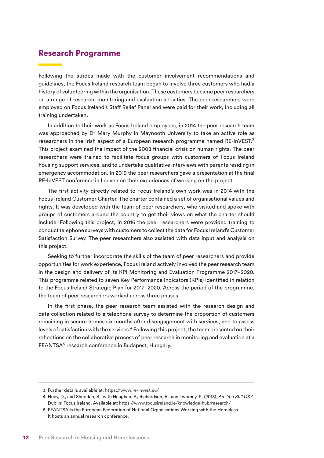#### Research Programme

Following the strides made with the customer involvement recommendations and guidelines, the Focus Ireland research team began to involve three customers who had a history of volunteering within the organisation. These customers became peer researchers on a range of research, monitoring and evaluation activities. The peer researchers were employed on Focus Ireland's Staff Relief Panel and were paid for their work, including all training undertaken.

In addition to their work as Focus Ireland employees, in 2014 the peer research team was approached by Dr Mary Murphy in Maynooth University to take an active role as researchers in the Irish aspect of a European research programme named RE-InVEST.<sup>3</sup> This project examined the impact of the 2008 financial crisis on human rights. The peer researchers were trained to facilitate focus groups with customers of Focus Ireland housing support services, and to undertake qualitative interviews with parents residing in emergency accommodation. In 2019 the peer researchers gave a presentation at the final RE-InVEST conference in Leuven on their experiences of working on the project.

The first activity directly related to Focus Ireland's own work was in 2014 with the Focus Ireland Customer Charter. The charter contained a set of organisational values and rights. It was developed with the team of peer researchers, who visited and spoke with groups of customers around the country to get their views on what the charter should include. Following this project, in 2016 the peer researchers were provided training to conduct telephone surveys with customers to collect the data for Focus Ireland's Customer Satisfaction Survey. The peer researchers also assisted with data input and analysis on this project.

Seeking to further incorporate the skills of the team of peer researchers and provide opportunities for work experience, Focus Ireland actively involved the peer research team in the design and delivery of its KPI Monitoring and Evaluation Programme 2017–2020. This programme related to seven Key Performance Indicators (KPIs) identified in relation to the Focus Ireland Strategic Plan for 2017–2020. Across the period of the programme, the team of peer researchers worked across three phases.

In the first phase, the peer research team assisted with the research design and data collection related to a telephone survey to determine the proportion of customers remaining in secure homes six months after disengagement with services, and to assess levels of satisfaction with the services.<sup>4</sup> Following this project, the team presented on their reflections on the collaborative process of peer research in monitoring and evaluation at a FEANTSA<sup>5</sup> research conference in Budapest, Hungary.

<sup>3</sup> Further details available at: https://www.re-invest.eu/

<sup>4</sup> Hoey, D., and Sheridan, S., with Haughan, P., Richardson, E., and Twomey, K. (2018), *Are You Still OK?* Dublin: Focus Ireland. Available at: https://www.focusireland.ie/knowledge-hub/research/

<sup>5</sup> FEANTSA is the European Federation of National Organisations Working with the Homeless. It hosts an annual research conference.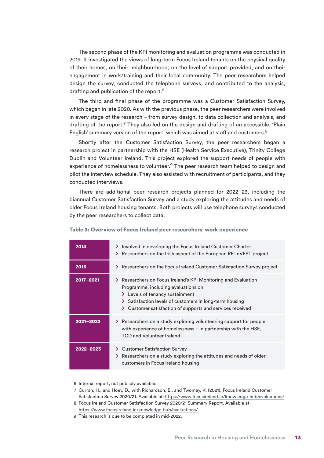The second phase of the KPI monitoring and evaluation programme was conducted in 2019. It investigated the views of long-term Focus Ireland tenants on the physical quality of their homes, on their neighbourhood, on the level of support provided, and on their engagement in work/training and their local community. The peer researchers helped design the survey, conducted the telephone surveys, and contributed to the analysis, drafting and publication of the report.6

The third and final phase of the programme was a Customer Satisfaction Survey, which began in late 2020. As with the previous phase, the peer researchers were involved in every stage of the research – from survey design, to data collection and analysis, and drafting of the report.<sup>7</sup> They also led on the design and drafting of an accessible, 'Plain English' summary version of the report, which was aimed at staff and customers.8

Shortly after the Customer Satisfaction Survey, the peer researchers began a research project in partnership with the HSE (Health Service Executive), Trinity College Dublin and Volunteer Ireland. This project explored the support needs of people with experience of homelessness to volunteer.<sup>9</sup> The peer research team helped to design and pilot the interview schedule. They also assisted with recruitment of participants, and they conducted interviews.

There are additional peer research projects planned for 2022–23, including the biannual Customer Satisfaction Survey and a study exploring the attitudes and needs of older Focus Ireland housing tenants. Both projects will use telephone surveys conducted by the peer researchers to collect data.

| 2014      | Involved in developing the Focus Ireland Customer Charter<br>⋗<br>Researchers on the Irish aspect of the European RE-InVEST project<br>⋗                                                                                                                          |
|-----------|-------------------------------------------------------------------------------------------------------------------------------------------------------------------------------------------------------------------------------------------------------------------|
| 2016      | Researchers on the Focus Ireland Customer Satisfaction Survey project<br>⋗                                                                                                                                                                                        |
| 2017-2021 | > Researchers on Focus Ireland's KPI Monitoring and Evaluation<br>Programme, including evaluations on:<br>> Levels of tenancy sustainment<br>> Satisfaction levels of customers in long-term housing<br>> Customer satisfaction of supports and services received |
| 2021-2022 | > Researchers on a study exploring volunteering support for people<br>with experience of homelessness - in partnership with the HSE,<br><b>TCD and Volunteer Ireland</b>                                                                                          |
| 2022-2023 | <b>Customer Satisfaction Survey</b><br>⋗<br>Researchers on a study exploring the attitudes and needs of older<br>⋗<br>customers in Focus Ireland housing                                                                                                          |

#### Table 3: Overview of Focus Ireland peer researchers' work experience

6 Internal report, not publicly available.

7 Curran, H., and Hoey, D., with Richardson, E., and Twomey, K. (2021), Focus Ireland Customer Satisfaction Survey 2020/21. Available at: https://www.focusireland.ie/knowledge-hub/evaluations/

8 Focus Ireland Customer Satisfaction Survey 2020/21 Summary Report. Available at: https://www.focusireland.ie/knowledge-hub/evaluations/

9 This research is due to be completed in mid-2022.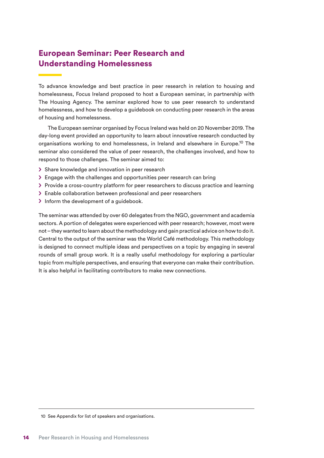#### European Seminar: Peer Research and Understanding Homelessness

To advance knowledge and best practice in peer research in relation to housing and homelessness, Focus Ireland proposed to host a European seminar, in partnership with The Housing Agency. The seminar explored how to use peer research to understand homelessness, and how to develop a guidebook on conducting peer research in the areas of housing and homelessness.

The European seminar organised by Focus Ireland was held on 20 November 2019. The day-long event provided an opportunity to learn about innovative research conducted by organisations working to end homelessness, in Ireland and elsewhere in Europe.10 The seminar also considered the value of peer research, the challenges involved, and how to respond to those challenges. The seminar aimed to:

- > Share knowledge and innovation in peer research
- > Engage with the challenges and opportunities peer research can bring
- > Provide a cross-country platform for peer researchers to discuss practice and learning
- > Enable collaboration between professional and peer researchers
- > Inform the development of a guidebook.

The seminar was attended by over 60 delegates from the NGO, government and academia sectors. A portion of delegates were experienced with peer research; however, most were not – they wanted to learn about the methodology and gain practical advice on how to do it. Central to the output of the seminar was the World Café methodology. This methodology is designed to connect multiple ideas and perspectives on a topic by engaging in several rounds of small group work. It is a really useful methodology for exploring a particular topic from multiple perspectives, and ensuring that everyone can make their contribution. It is also helpful in facilitating contributors to make new connections.

<sup>10</sup> See Appendix for list of speakers and organisations.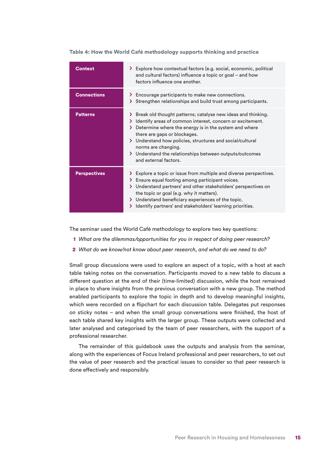| <b>Context</b>      | > Explore how contextual factors (e.g. social, economic, political<br>and cultural factors) influence a topic or goal - and how<br>factors influence one another.                                                                                                                                                                                                                                   |
|---------------------|-----------------------------------------------------------------------------------------------------------------------------------------------------------------------------------------------------------------------------------------------------------------------------------------------------------------------------------------------------------------------------------------------------|
| <b>Connections</b>  | > Encourage participants to make new connections.<br>> Strengthen relationships and build trust among participants.                                                                                                                                                                                                                                                                                 |
| <b>Patterns</b>     | > Break old thought patterns; catalyse new ideas and thinking.<br>Identify areas of common interest, concern or excitement.<br>≻<br>> Determine where the energy is in the system and where<br>there are gaps or blockages.<br>> Understand how policies, structures and social/cultural<br>norms are changing.<br>> Understand the relationships between outputs/outcomes<br>and external factors. |
| <b>Perspectives</b> | > Explore a topic or issue from multiple and diverse perspectives.<br>> Ensure equal footing among participant voices.<br>> Understand partners' and other stakeholders' perspectives on<br>the topic or goal (e.g. why it matters).<br>> Understand beneficiary experiences of the topic.<br>> Identify partners' and stakeholders' learning priorities.                                           |

Table 4: How the World Café methodology supports thinking and practice

The seminar used the World Café methodology to explore two key questions:

- 1 *What are the dilemmas/opportunities for you in respect of doing peer research?*
- 2 *What do we know/not know about peer research, and what do we need to do?*

Small group discussions were used to explore an aspect of a topic, with a host at each table taking notes on the conversation. Participants moved to a new table to discuss a different question at the end of their (time-limited) discussion, while the host remained in place to share insights from the previous conversation with a new group. The method enabled participants to explore the topic in depth and to develop meaningful insights, which were recorded on a flipchart for each discussion table. Delegates put responses on sticky notes – and when the small group conversations were finished, the host of each table shared key insights with the larger group. These outputs were collected and later analysed and categorised by the team of peer researchers, with the support of a professional researcher.

The remainder of this guidebook uses the outputs and analysis from the seminar, along with the experiences of Focus Ireland professional and peer researchers, to set out the value of peer research and the practical issues to consider so that peer research is done effectively and responsibly.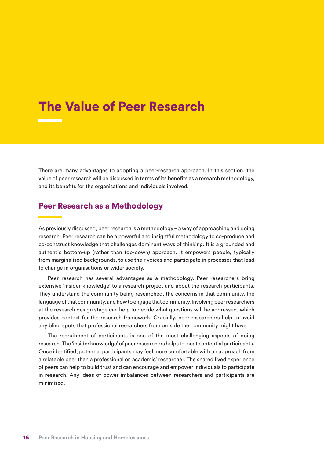## The Value of Peer Research

There are many advantages to adopting a peer-research approach. In this section, the value of peer research will be discussed in terms of its benefits as a research methodology, and its benefits for the organisations and individuals involved.

#### Peer Research as a Methodology

As previously discussed, peer research is a methodology – a way of approaching and doing research. Peer research can be a powerful and insightful methodology to co-produce and co-construct knowledge that challenges dominant ways of thinking. It is a grounded and authentic bottom-up (rather than top-down) approach. It empowers people, typically from marginalised backgrounds, to use their voices and participate in processes that lead to change in organisations or wider society.

Peer research has several advantages as a methodology. Peer researchers bring extensive 'insider knowledge' to a research project and about the research participants. They understand the community being researched, the concerns in that community, the language of that community, and how to engage that community. Involving peer researchers at the research design stage can help to decide what questions will be addressed, which provides context for the research framework. Crucially, peer researchers help to avoid any blind spots that professional researchers from outside the community might have.

The recruitment of participants is one of the most challenging aspects of doing research. The 'insider knowledge' of peer researchers helps to locate potential participants. Once identified, potential participants may feel more comfortable with an approach from a relatable peer than a professional or 'academic' researcher. The shared lived experience of peers can help to build trust and can encourage and empower individuals to participate in research. Any ideas of power imbalances between researchers and participants are minimised.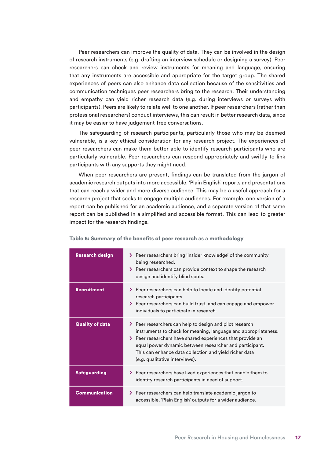Peer researchers can improve the quality of data. They can be involved in the design of research instruments (e.g. drafting an interview schedule or designing a survey). Peer researchers can check and review instruments for meaning and language, ensuring that any instruments are accessible and appropriate for the target group. The shared experiences of peers can also enhance data collection because of the sensitivities and communication techniques peer researchers bring to the research. Their understanding and empathy can yield richer research data (e.g. during interviews or surveys with participants). Peers are likely to relate well to one another. If peer researchers (rather than professional researchers) conduct interviews, this can result in better research data, since it may be easier to have judgement-free conversations.

The safeguarding of research participants, particularly those who may be deemed vulnerable, is a key ethical consideration for any research project. The experiences of peer researchers can make them better able to identify research participants who are particularly vulnerable. Peer researchers can respond appropriately and swiftly to link participants with any supports they might need.

When peer researchers are present, findings can be translated from the jargon of academic research outputs into more accessible, 'Plain English' reports and presentations that can reach a wider and more diverse audience. This may be a useful approach for a research project that seeks to engage multiple audiences. For example, one version of a report can be published for an academic audience, and a separate version of that same report can be published in a simplified and accessible format. This can lead to greater impact for the research findings.

| <b>Research design</b> | > Peer researchers bring 'insider knowledge' of the community<br>being researched.<br>> Peer researchers can provide context to shape the research<br>design and identify blind spots.                                                                                                                                                           |
|------------------------|--------------------------------------------------------------------------------------------------------------------------------------------------------------------------------------------------------------------------------------------------------------------------------------------------------------------------------------------------|
| <b>Recruitment</b>     | > Peer researchers can help to locate and identify potential<br>research participants.<br>> Peer researchers can build trust, and can engage and empower<br>individuals to participate in research.                                                                                                                                              |
| <b>Quality of data</b> | > Peer researchers can help to design and pilot research<br>instruments to check for meaning, language and appropriateness.<br>> Peer researchers have shared experiences that provide an<br>equal power dynamic between researcher and participant.<br>This can enhance data collection and yield richer data<br>(e.g. qualitative interviews). |
| <b>Safeguarding</b>    | > Peer researchers have lived experiences that enable them to<br>identify research participants in need of support.                                                                                                                                                                                                                              |
| <b>Communication</b>   | > Peer researchers can help translate academic jargon to<br>accessible, 'Plain English' outputs for a wider audience.                                                                                                                                                                                                                            |

#### Table 5: Summary of the benefits of peer research as a methodology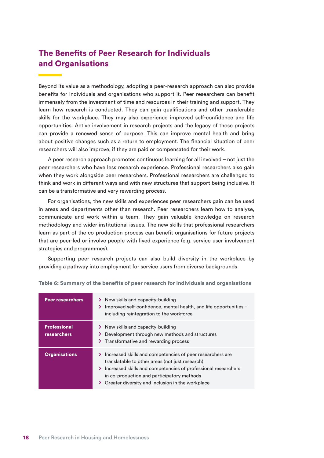#### The Benefits of Peer Research for Individuals and Organisations

Beyond its value as a methodology, adopting a peer-research approach can also provide benefits for individuals and organisations who support it. Peer researchers can benefit immensely from the investment of time and resources in their training and support. They learn how research is conducted. They can gain qualifications and other transferable skills for the workplace. They may also experience improved self-confidence and life opportunities. Active involvement in research projects and the legacy of those projects can provide a renewed sense of purpose. This can improve mental health and bring about positive changes such as a return to employment. The financial situation of peer researchers will also improve, if they are paid or compensated for their work.

A peer research approach promotes continuous learning for all involved – not just the peer researchers who have less research experience. Professional researchers also gain when they work alongside peer researchers. Professional researchers are challenged to think and work in different ways and with new structures that support being inclusive. It can be a transformative and very rewarding process.

For organisations, the new skills and experiences peer researchers gain can be used in areas and departments other than research. Peer researchers learn how to analyse, communicate and work within a team. They gain valuable knowledge on research methodology and wider institutional issues. The new skills that professional researchers learn as part of the co-production process can benefit organisations for future projects that are peer-led or involve people with lived experience (e.g. service user involvement strategies and programmes).

Supporting peer research projects can also build diversity in the workplace by providing a pathway into employment for service users from diverse backgrounds.

| <b>Peer researchers</b>            | $\blacktriangleright$ New skills and capacity-building<br>Improved self-confidence, mental health, and life opportunities -<br>including reintegration to the workforce                                                                                                             |
|------------------------------------|-------------------------------------------------------------------------------------------------------------------------------------------------------------------------------------------------------------------------------------------------------------------------------------|
| <b>Professional</b><br>researchers | $\sum$ New skills and capacity-building<br>Development through new methods and structures<br>> Transformative and rewarding process                                                                                                                                                 |
| <b>Organisations</b>               | > Increased skills and competencies of peer researchers are<br>translatable to other areas (not just research)<br>> Increased skills and competencies of professional researchers<br>in co-production and participatory methods<br>Greater diversity and inclusion in the workplace |

|  |  |  |  |  |  | Table 6: Summary of the benefits of peer research for individuals and organisations |
|--|--|--|--|--|--|-------------------------------------------------------------------------------------|
|--|--|--|--|--|--|-------------------------------------------------------------------------------------|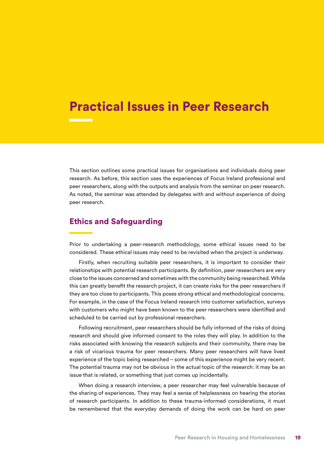## Practical Issues in Peer Research

This section outlines some practical issues for organisations and individuals doing peer research. As before, this section uses the experiences of Focus Ireland professional and peer researchers, along with the outputs and analysis from the seminar on peer research. As noted, the seminar was attended by delegates with and without experience of doing peer research.

#### Ethics and Safeguarding

Prior to undertaking a peer-research methodology, some ethical issues need to be considered. These ethical issues may need to be revisited when the project is underway.

Firstly, when recruiting suitable peer researchers, it is important to consider their relationships with potential research participants. By definition, peer researchers are very close to the issues concerned and sometimes with the community being researched. While this can greatly benefit the research project, it can create risks for the peer researchers if they are too close to participants. This poses strong ethical and methodological concerns. For example, in the case of the Focus Ireland research into customer satisfaction, surveys with customers who might have been known to the peer researchers were identified and scheduled to be carried out by professional researchers.

Following recruitment, peer researchers should be fully informed of the risks of doing research and should give informed consent to the roles they will play. In addition to the risks associated with knowing the research subjects and their community, there may be a risk of vicarious trauma for peer researchers. Many peer researchers will have lived experience of the topic being researched – some of this experience might be very recent. The potential trauma may not be obvious in the actual topic of the research: it may be an issue that is related, or something that just comes up incidentally.

When doing a research interview, a peer researcher may feel vulnerable because of the sharing of experiences. They may feel a sense of helplessness on hearing the stories of research participants. In addition to these trauma-informed considerations, it must be remembered that the everyday demands of doing the work can be hard on peer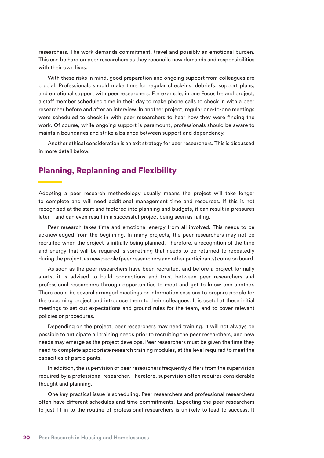researchers. The work demands commitment, travel and possibly an emotional burden. This can be hard on peer researchers as they reconcile new demands and responsibilities with their own lives.

With these risks in mind, good preparation and ongoing support from colleagues are crucial. Professionals should make time for regular check-ins, debriefs, support plans, and emotional support with peer researchers. For example, in one Focus Ireland project, a staff member scheduled time in their day to make phone calls to check in with a peer researcher before and after an interview. In another project, regular one-to-one meetings were scheduled to check in with peer researchers to hear how they were finding the work. Of course, while ongoing support is paramount, professionals should be aware to maintain boundaries and strike a balance between support and dependency.

Another ethical consideration is an exit strategy for peer researchers. This is discussed in more detail below.

#### Planning, Replanning and Flexibility

Adopting a peer research methodology usually means the project will take longer to complete and will need additional management time and resources. If this is not recognised at the start and factored into planning and budgets, it can result in pressures later – and can even result in a successful project being seen as failing.

Peer research takes time and emotional energy from all involved. This needs to be acknowledged from the beginning. In many projects, the peer researchers may not be recruited when the project is initially being planned. Therefore, a recognition of the time and energy that will be required is something that needs to be returned to repeatedly during the project, as new people (peer researchers and other participants) come on board.

As soon as the peer researchers have been recruited, and before a project formally starts, it is advised to build connections and trust between peer researchers and professional researchers through opportunities to meet and get to know one another. There could be several arranged meetings or information sessions to prepare people for the upcoming project and introduce them to their colleagues. It is useful at these initial meetings to set out expectations and ground rules for the team, and to cover relevant policies or procedures.

Depending on the project, peer researchers may need training. It will not always be possible to anticipate all training needs prior to recruiting the peer researchers, and new needs may emerge as the project develops. Peer researchers must be given the time they need to complete appropriate research training modules, at the level required to meet the capacities of participants.

In addition, the supervision of peer researchers frequently differs from the supervision required by a professional researcher. Therefore, supervision often requires considerable thought and planning.

One key practical issue is scheduling. Peer researchers and professional researchers often have different schedules and time commitments. Expecting the peer researchers to just fit in to the routine of professional researchers is unlikely to lead to success. It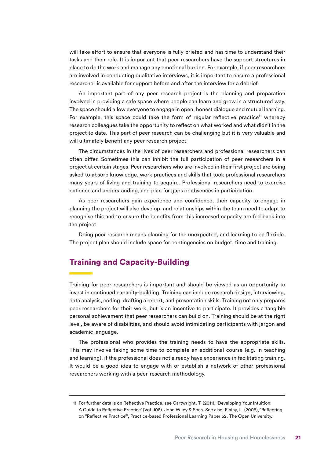will take effort to ensure that everyone is fully briefed and has time to understand their tasks and their role. It is important that peer researchers have the support structures in place to do the work and manage any emotional burden. For example, if peer researchers are involved in conducting qualitative interviews, it is important to ensure a professional researcher is available for support before and after the interview for a debrief.

An important part of any peer research project is the planning and preparation involved in providing a safe space where people can learn and grow in a structured way. The space should allow everyone to engage in open, honest dialogue and mutual learning. For example, this space could take the form of regular reflective practice<sup>11</sup> whereby research colleagues take the opportunity to reflect on what worked and what didn't in the project to date. This part of peer research can be challenging but it is very valuable and will ultimately benefit any peer research project.

The circumstances in the lives of peer researchers and professional researchers can often differ. Sometimes this can inhibit the full participation of peer researchers in a project at certain stages. Peer researchers who are involved in their first project are being asked to absorb knowledge, work practices and skills that took professional researchers many years of living and training to acquire. Professional researchers need to exercise patience and understanding, and plan for gaps or absences in participation.

As peer researchers gain experience and confidence, their capacity to engage in planning the project will also develop, and relationships within the team need to adapt to recognise this and to ensure the benefits from this increased capacity are fed back into the project.

Doing peer research means planning for the unexpected, and learning to be flexible. The project plan should include space for contingencies on budget, time and training.

#### Training and Capacity-Building

Training for peer researchers is important and should be viewed as an opportunity to invest in continued capacity-building. Training can include research design, interviewing, data analysis, coding, drafting a report, and presentation skills. Training not only prepares peer researchers for their work, but is an incentive to participate. It provides a tangible personal achievement that peer researchers can build on. Training should be at the right level, be aware of disabilities, and should avoid intimidating participants with jargon and academic language.

The professional who provides the training needs to have the appropriate skills. This may involve taking some time to complete an additional course (e.g. in teaching and learning), if the professional does not already have experience in facilitating training. It would be a good idea to engage with or establish a network of other professional researchers working with a peer-research methodology.

<sup>11</sup> For further details on Reflective Practice, see Cartwright, T. (2011), 'Developing Your Intuition: A Guide to Reflective Practice' (Vol. 108). John Wiley & Sons. See also: Finlay, L. (2008), 'Reflecting on "Reflective Practice"', Practice-based Professional Learning Paper 52, The Open University.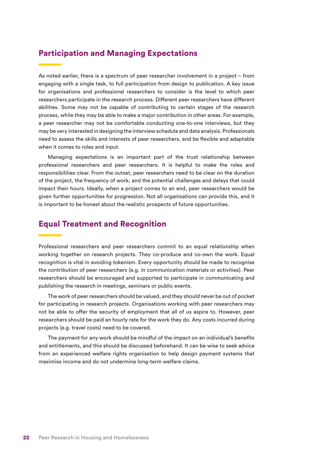#### Participation and Managing Expectations

As noted earlier, there is a spectrum of peer researcher involvement in a project – from engaging with a single task, to full participation from design to publication. A key issue for organisations and professional researchers to consider is the level to which peer researchers participate in the research process. Different peer researchers have different abilities. Some may not be capable of contributing to certain stages of the research process, while they may be able to make a major contribution in other areas. For example, a peer researcher may not be comfortable conducting one-to-one interviews, but they may be very interested in designing the interview schedule and data analysis. Professionals need to assess the skills and interests of peer researchers, and be flexible and adaptable when it comes to roles and input.

Managing expectations is an important part of the trust relationship between professional researchers and peer researchers. It is helpful to make the roles and responsibilities clear. From the outset, peer researchers need to be clear on the duration of the project, the frequency of work, and the potential challenges and delays that could impact their hours. Ideally, when a project comes to an end, peer researchers would be given further opportunities for progression. Not all organisations can provide this, and it is important to be honest about the realistic prospects of future opportunities.

#### Equal Treatment and Recognition

Professional researchers and peer researchers commit to an equal relationship when working together on research projects. They co-produce and co-own the work. Equal recognition is vital in avoiding tokenism. Every opportunity should be made to recognise the contribution of peer researchers (e.g. in communication materials or activities). Peer researchers should be encouraged and supported to participate in communicating and publishing the research in meetings, seminars or public events.

The work of peer researchers should be valued, and they should never be out of pocket for participating in research projects. Organisations working with peer researchers may not be able to offer the security of employment that all of us aspire to. However, peer researchers should be paid an hourly rate for the work they do. Any costs incurred during projects (e.g. travel costs) need to be covered.

The payment for any work should be mindful of the impact on an individual's benefits and entitlements, and this should be discussed beforehand. It can be wise to seek advice from an experienced welfare rights organisation to help design payment systems that maximise income and do not undermine long-term welfare claims.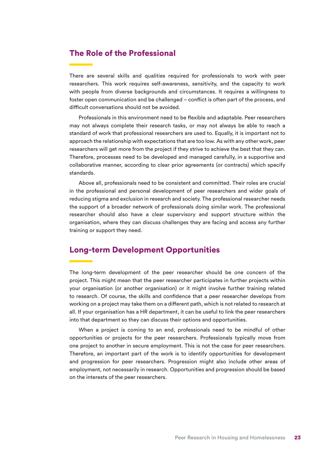#### The Role of the Professional

There are several skills and qualities required for professionals to work with peer researchers. This work requires self-awareness, sensitivity, and the capacity to work with people from diverse backgrounds and circumstances. It requires a willingness to foster open communication and be challenged – conflict is often part of the process, and difficult conversations should not be avoided.

Professionals in this environment need to be flexible and adaptable. Peer researchers may not always complete their research tasks, or may not always be able to reach a standard of work that professional researchers are used to. Equally, it is important not to approach the relationship with expectations that are too low. As with any other work, peer researchers will get more from the project if they strive to achieve the best that they can. Therefore, processes need to be developed and managed carefully, in a supportive and collaborative manner, according to clear prior agreements (or contracts) which specify standards.

Above all, professionals need to be consistent and committed. Their roles are crucial in the professional and personal development of peer researchers and wider goals of reducing stigma and exclusion in research and society. The professional researcher needs the support of a broader network of professionals doing similar work. The professional researcher should also have a clear supervisory and support structure within the organisation, where they can discuss challenges they are facing and access any further training or support they need.

#### Long-term Development Opportunities

The long-term development of the peer researcher should be one concern of the project. This might mean that the peer researcher participates in further projects within your organisation (or another organisation) or it might involve further training related to research. Of course, the skills and confidence that a peer researcher develops from working on a project may take them on a different path, which is not related to research at all. If your organisation has a HR department, it can be useful to link the peer researchers into that department so they can discuss their options and opportunities.

When a project is coming to an end, professionals need to be mindful of other opportunities or projects for the peer researchers. Professionals typically move from one project to another in secure employment. This is not the case for peer researchers. Therefore, an important part of the work is to identify opportunities for development and progression for peer researchers. Progression might also include other areas of employment, not necessarily in research. Opportunities and progression should be based on the interests of the peer researchers.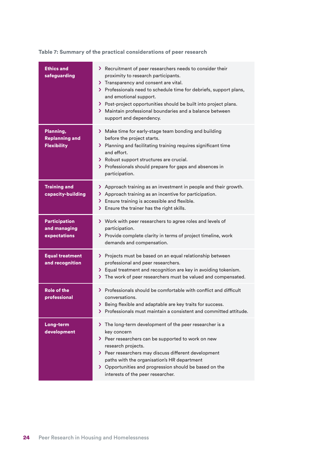#### Table 7: Summary of the practical considerations of peer research

| <b>Ethics and</b><br>safeguarding                        | > Recruitment of peer researchers needs to consider their<br>proximity to research participants.<br>> Transparency and consent are vital.<br>> Professionals need to schedule time for debriefs, support plans,<br>and emotional support.<br>> Post-project opportunities should be built into project plans.<br>> Maintain professional boundaries and a balance between<br>support and dependency. |
|----------------------------------------------------------|------------------------------------------------------------------------------------------------------------------------------------------------------------------------------------------------------------------------------------------------------------------------------------------------------------------------------------------------------------------------------------------------------|
| Planning,<br><b>Replanning and</b><br><b>Flexibility</b> | > Make time for early-stage team bonding and building<br>before the project starts.<br>> Planning and facilitating training requires significant time<br>and effort.<br>> Robust support structures are crucial.<br>> Professionals should prepare for gaps and absences in<br>participation.                                                                                                        |
| <b>Training and</b><br>capacity-building                 | > Approach training as an investment in people and their growth.<br>> Approach training as an incentive for participation.<br>> Ensure training is accessible and flexible.<br>> Ensure the trainer has the right skills.                                                                                                                                                                            |
| <b>Participation</b><br>and managing<br>expectations     | > Work with peer researchers to agree roles and levels of<br>participation.<br>> Provide complete clarity in terms of project timeline, work<br>demands and compensation.                                                                                                                                                                                                                            |
| <b>Equal treatment</b><br>and recognition                | > Projects must be based on an equal relationship between<br>professional and peer researchers.<br>> Equal treatment and recognition are key in avoiding tokenism.<br>> The work of peer researchers must be valued and compensated.                                                                                                                                                                 |
| <b>Role of the</b><br>professional                       | > Professionals should be comfortable with conflict and difficult<br>conversations.<br>> Being flexible and adaptable are key traits for success.<br>> Professionals must maintain a consistent and committed attitude.                                                                                                                                                                              |
| Long-term<br>development                                 | > The long-term development of the peer researcher is a<br>key concern<br>> Peer researchers can be supported to work on new<br>research projects.<br>> Peer researchers may discuss different development<br>paths with the organisation's HR department<br>> Opportunities and progression should be based on the<br>interests of the peer researcher.                                             |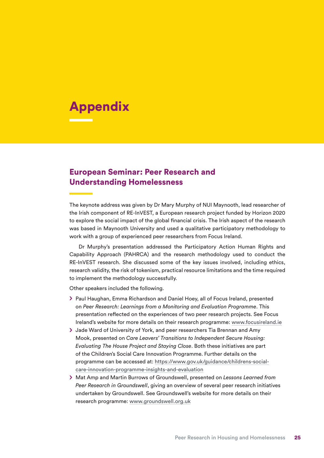

#### European Seminar: Peer Research and Understanding Homelessness

The keynote address was given by Dr Mary Murphy of NUI Maynooth, lead researcher of the Irish component of RE-InVEST, a European research project funded by Horizon 2020 to explore the social impact of the global financial crisis. The Irish aspect of the research was based in Maynooth University and used a qualitative participatory methodology to work with a group of experienced peer researchers from Focus Ireland.

Dr Murphy's presentation addressed the Participatory Action Human Rights and Capability Approach (PAHRCA) and the research methodology used to conduct the RE-InVEST research. She discussed some of the key issues involved, including ethics, research validity, the risk of tokenism, practical resource limitations and the time required to implement the methodology successfully.

Other speakers included the following.

- S Paul Haughan, Emma Richardson and Daniel Hoey, all of Focus Ireland, presented on *Peer Research: Learnings from a Monitoring and Evaluation Programme*. This presentation reflected on the experiences of two peer research projects. See Focus Ireland's website for more details on their research programme: www.focusireland.ie
- > Jade Ward of University of York, and peer researchers Tia Brennan and Amy Mook, presented on *Care Leavers' Transitions to Independent Secure Housing: Evaluating The House Project and Staying Close*. Both these initiatives are part of the Children's Social Care Innovation Programme. Further details on the programme can be accessed at: https://www.gov.uk/guidance/childrens-socialcare-innovation-programme-insights-and-evaluation
- S Mat Amp and Martin Burrows of Groundswell, presented on *Lessons Learned from Peer Research in Groundswell*, giving an overview of several peer research initiatives undertaken by Groundswell. See Groundswell's website for more details on their research programme: www.groundswell.org.uk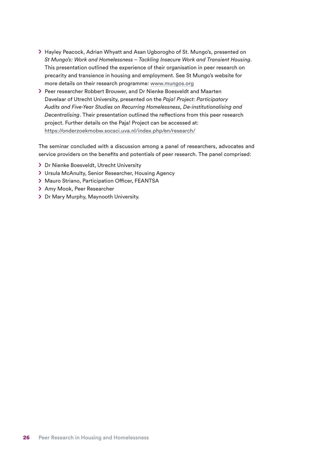- > Hayley Peacock, Adrian Whyatt and Asan Ugborogho of St. Mungo's, presented on *St Mungo's: Work and Homelessness – Tackling Insecure Work and Transient Housing*. This presentation outlined the experience of their organisation in peer research on precarity and transience in housing and employment. See St Mungo's website for more details on their research programme: www.mungos.org
- S Peer researcher Robbert Brouwer, and Dr Nienke Boesveldt and Maarten Davelaar of Utrecht University, presented on the *Paja! Project: Participatory Audits and Five-Year Studies on Recurring Homelessness, De-institutionalising and Decentralising*. Their presentation outlined the reflections from this peer research project. Further details on the Paja! Project can be accessed at: https://onderzoekmobw.socsci.uva.nl/index.php/en/research/

The seminar concluded with a discussion among a panel of researchers, advocates and service providers on the benefits and potentials of peer research. The panel comprised:

- > Dr Nienke Boesveldt, Utrecht University
- > Ursula McAnulty, Senior Researcher, Housing Agency
- > Mauro Striano, Participation Officer, FEANTSA
- > Amy Mook, Peer Researcher
- > Dr Mary Murphy, Maynooth University.